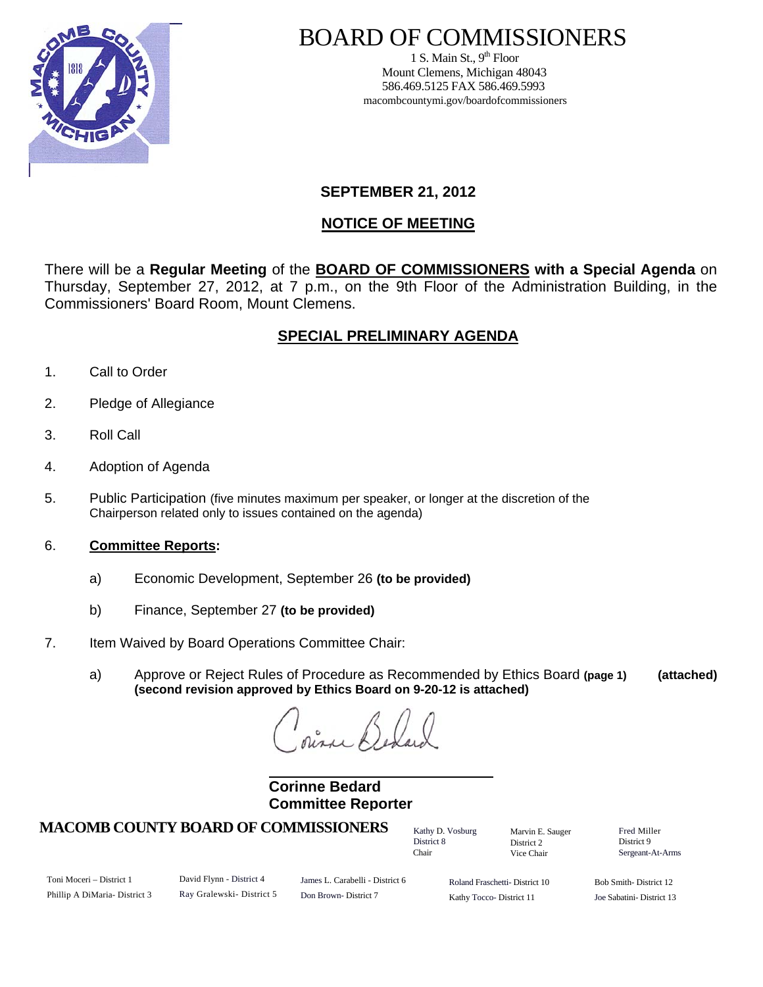

# BOARD OF COMMISSIONERS

1 S. Main St.,  $9<sup>th</sup>$  Floor Mount Clemens, Michigan 48043 586.469.5125 FAX 586.469.5993 macombcountymi.gov/boardofcommissioners

## **SEPTEMBER 21, 2012**

## **NOTICE OF MEETING**

There will be a **Regular Meeting** of the **BOARD OF COMMISSIONERS with a Special Agenda** on Thursday, September 27, 2012, at 7 p.m., on the 9th Floor of the Administration Building, in the Commissioners' Board Room, Mount Clemens.

# **SPECIAL PRELIMINARY AGENDA**

- 1. Call to Order
- 2. Pledge of Allegiance
- 3. Roll Call
- 4. Adoption of Agenda
- 5. Public Participation (five minutes maximum per speaker, or longer at the discretion of the Chairperson related only to issues contained on the agenda)
- 6. **Committee Reports:**
	- a) Economic Development, September 26 **(to be provided)**
	- b) Finance, September 27 **(to be provided)**
- 7. Item Waived by Board Operations Committee Chair:
	- a) Approve or Reject Rules of Procedure as Recommended by Ethics Board **(page 1) (attached) (second revision approved by Ethics Board on 9-20-12 is attached)**

 $n_a$ 

 **Corinne Bedard Committee Reporter**

## **MACOMB COUNTY BOARD OF COMMISSIONERS** Factor D. Vosburg Marvin F. Sauger Fred Miller

Kathy D. Vosburg District 8 Chair

Marvin E. Sauger District 2 Vice Chair

District 9 Sergeant-At-Arms

Toni Moceri – District 1 Phillip A DiMaria- District 3 David Flynn - District 4 Ray Gralewski- District 5 James L. Carabelli - District 6 Don Brown- District 7

Roland Fraschetti- District 10 Kathy Tocco- District 11

Bob Smith- District 12 Joe Sabatini- District 13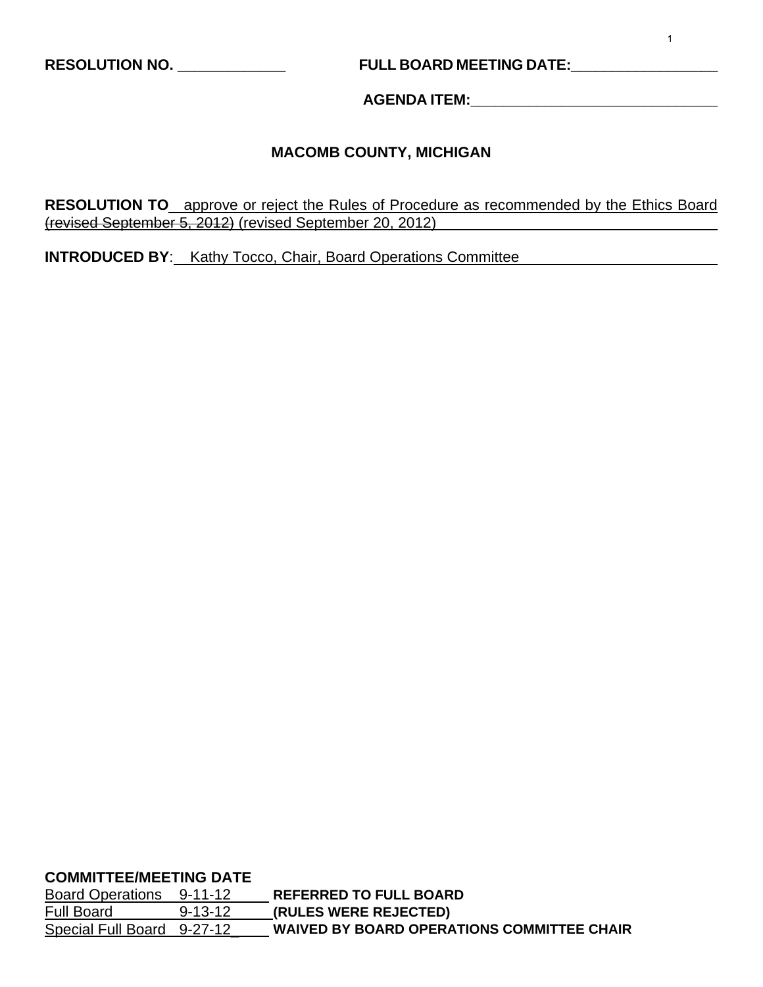# **RESOLUTION NO. \_\_\_\_\_\_\_\_\_\_\_\_\_ FULL BOARD MEETING DATE:\_\_\_\_\_\_\_\_\_\_\_\_\_\_\_\_\_\_**

**AGENDA ITEM:\_\_\_\_\_\_\_\_\_\_\_\_\_\_\_\_\_\_\_\_\_\_\_\_\_\_\_\_\_\_** 

## **MACOMB COUNTY, MICHIGAN**

**RESOLUTION TO** approve or reject the Rules of Procedure as recommended by the Ethics Board (revised September 5, 2012) (revised September 20, 2012)

**INTRODUCED BY**: Kathy Tocco, Chair, Board Operations Committee

**COMMITTEE/MEETING DATE**

Board Operations 9-11-12 **REFERRED TO FULL BOARD** Full Board 9-13-12 **(RULES WERE REJECTED)** Special Full Board 9-27-12\_ **WAIVED BY BOARD OPERATIONS COMMITTEE CHAIR**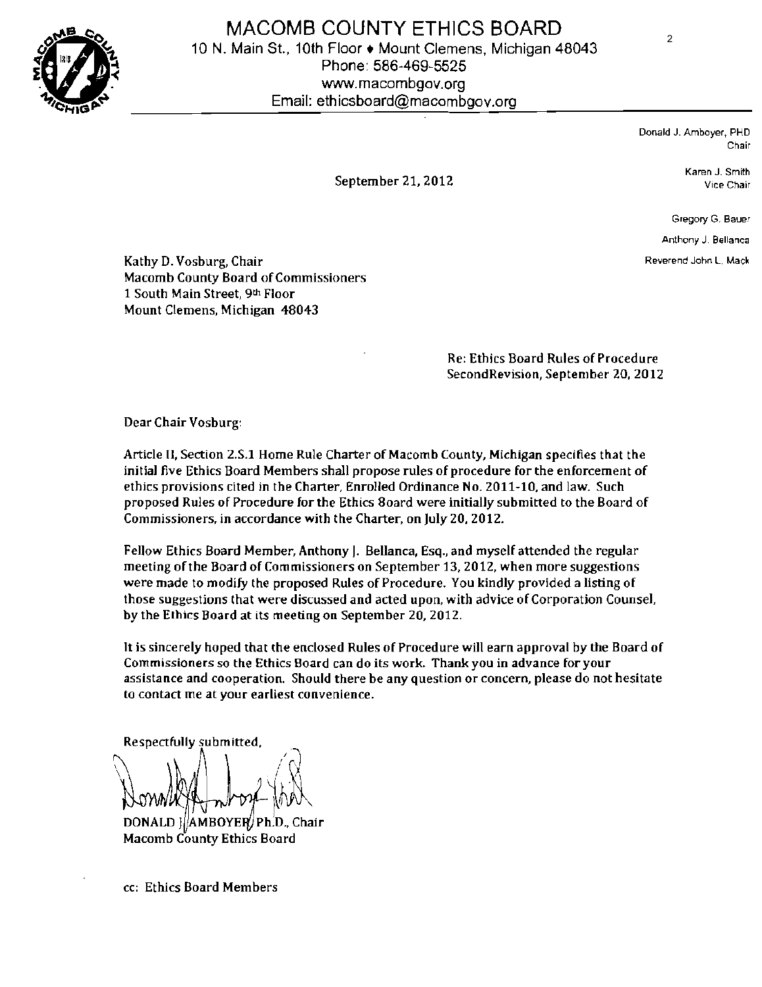

MACOMB COUNTY ETHICS BOARD 10 N. Main St., 10th Floor ♦ Mount Clemens, Michigan 48043 Phone: 586-469-5525 www.macombgov.org Email: ethicsboard@macombgov.org

> Donald J. Amboyer, PHD Chair

Karen J. Smith September 21, 2012 Vice Chair

Gregory G. Bauer

Anthony J. Bellanca

Kathy D. Vosburg, Chair Reverend John L. Mack Macomb County Board of Commissioners 1 South Main Street, 9th Floor Mount Clemens, Michigan 48043

> Re: Ethics Board Rules of Procedure SecondRevision, September 20. 2012

Dear Chair Vosburg:

Article II, Section 2.S.1 Home Rule Charter of Macomb County, Michigan specifies that the initial five Ethics Board Members shall propose rules of procedure for the enforcement of ethics provisions cited in the Charter, Enrolled Ordinance No. 2011-10. and law. Such proposed Rules of Procedure for the Ethics 80ard were initially submitted to the Board of Commissioners, in accordance with the Charter, on July 20,2012.

Fellow Ethics Board Member, Anthony J. Bellanca, ESQ., and myself attended the regular meeting of the Board of Commissioners on September 13, 2012, when more suggestions were made to modify the proposed Rules of Procedure. You kindly provided a listing of those suggestions that were discussed and acted upon, with advice of Corporation Counsel, by the Ethics Board at its meeting on September 20, 2012.

It is sincerely hoped that the enclosed Rules of Procedure will earn approval by the Board of Commissioners so the Ethics Board can do its work. Thank you in advance for your assistance and cooperation. Should there be any Question or concern, please do not hesitate to contact me at your earliest convenience.

Respectfully submitted,  $/$   $\alpha$   $\vert$  $\mathbb{R}$  resolutionally DONALD } AMBOYER Ph.D., Chair

Macomb County Ethics Board

cc: Ethics Board Members

 $\overline{2}$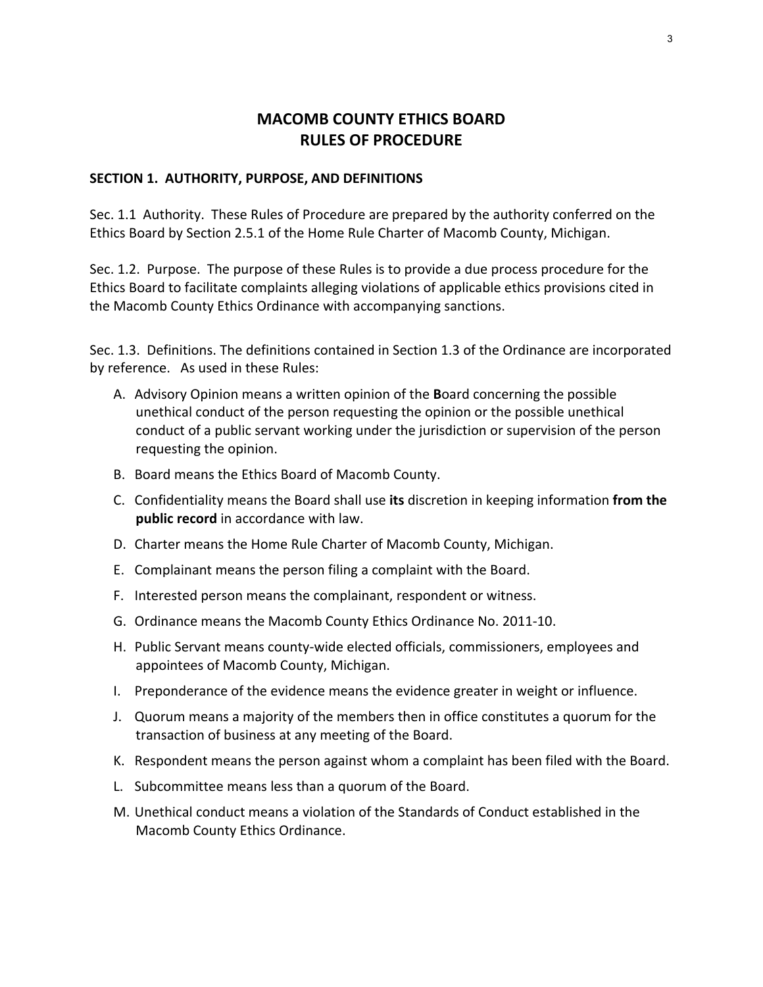# **MACOMB COUNTY ETHICS BOARD RULES OF PROCEDURE**

#### **SECTION 1. AUTHORITY, PURPOSE, AND DEFINITIONS**

Sec. 1.1 Authority. These Rules of Procedure are prepared by the authority conferred on the Ethics Board by Section 2.5.1 of the Home Rule Charter of Macomb County, Michigan.

Sec. 1.2. Purpose. The purpose of these Rules is to provide a due process procedure for the Ethics Board to facilitate complaints alleging violations of applicable ethics provisions cited in the Macomb County Ethics Ordinance with accompanying sanctions.

Sec. 1.3. Definitions. The definitions contained in Section 1.3 of the Ordinance are incorporated by reference. As used in these Rules:

- A. Advisory Opinion means a written opinion of the **B**oard concerning the possible unethical conduct of the person requesting the opinion or the possible unethical conduct of a public servant working under the jurisdiction or supervision of the person requesting the opinion.
- B. Board means the Ethics Board of Macomb County.
- C. Confidentiality means the Board shall use **its** discretion in keeping information **from the public record** in accordance with law.
- D. Charter means the Home Rule Charter of Macomb County, Michigan.
- E. Complainant means the person filing a complaint with the Board.
- F. Interested person means the complainant, respondent or witness.
- G. Ordinance means the Macomb County Ethics Ordinance No. 2011‐10.
- H. Public Servant means county‐wide elected officials, commissioners, employees and appointees of Macomb County, Michigan.
- I. Preponderance of the evidence means the evidence greater in weight or influence.
- J. Quorum means a majority of the members then in office constitutes a quorum for the transaction of business at any meeting of the Board.
- K. Respondent means the person against whom a complaint has been filed with the Board.
- L. Subcommittee means less than a quorum of the Board.
- M. Unethical conduct means a violation of the Standards of Conduct established in the Macomb County Ethics Ordinance.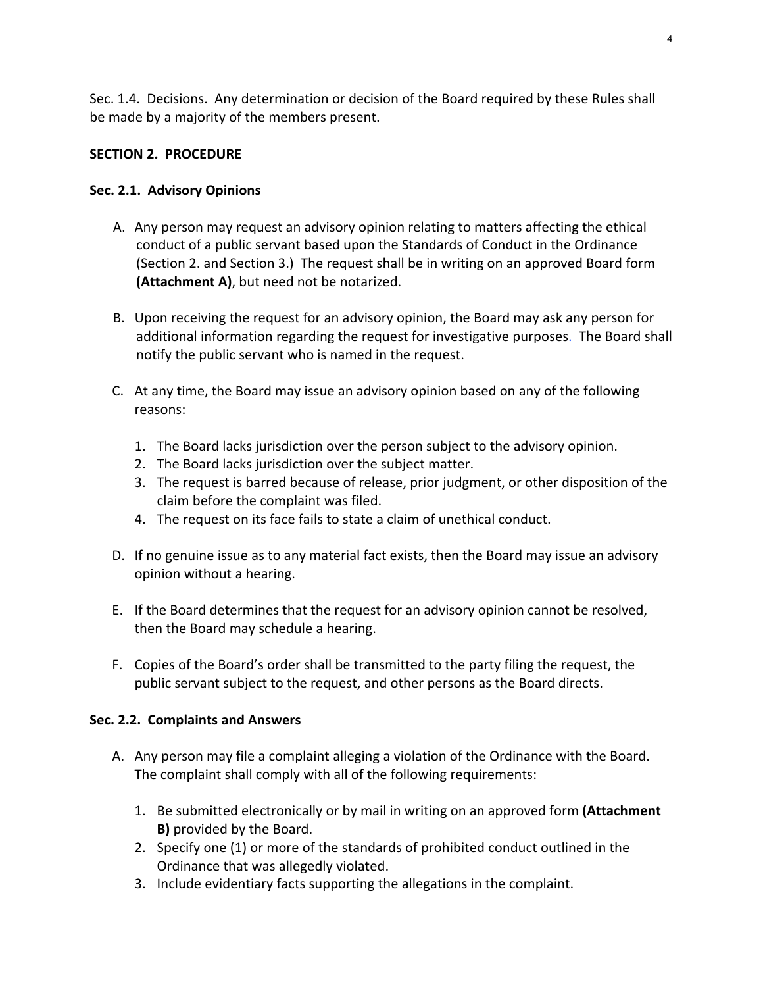Sec. 1.4. Decisions. Any determination or decision of the Board required by these Rules shall be made by a majority of the members present.

## **SECTION 2. PROCEDURE**

## **Sec. 2.1. Advisory Opinions**

- A. Any person may request an advisory opinion relating to matters affecting the ethical conduct of a public servant based upon the Standards of Conduct in the Ordinance (Section 2. and Section 3.) The request shall be in writing on an approved Board form **(Attachment A)**, but need not be notarized.
- B. Upon receiving the request for an advisory opinion, the Board may ask any person for additional information regarding the request for investigative purposes. The Board shall notify the public servant who is named in the request.
- C. At any time, the Board may issue an advisory opinion based on any of the following reasons:
	- 1. The Board lacks jurisdiction over the person subject to the advisory opinion.
	- 2. The Board lacks jurisdiction over the subject matter.
	- 3. The request is barred because of release, prior judgment, or other disposition of the claim before the complaint was filed.
	- 4. The request on its face fails to state a claim of unethical conduct.
- D. If no genuine issue as to any material fact exists, then the Board may issue an advisory opinion without a hearing.
- E. If the Board determines that the request for an advisory opinion cannot be resolved, then the Board may schedule a hearing.
- F. Copies of the Board's order shall be transmitted to the party filing the request, the public servant subject to the request, and other persons as the Board directs.

## **Sec. 2.2. Complaints and Answers**

- A. Any person may file a complaint alleging a violation of the Ordinance with the Board. The complaint shall comply with all of the following requirements:
	- 1. Be submitted electronically or by mail in writing on an approved form **(Attachment B)** provided by the Board.
	- 2. Specify one (1) or more of the standards of prohibited conduct outlined in the Ordinance that was allegedly violated.
	- 3. Include evidentiary facts supporting the allegations in the complaint.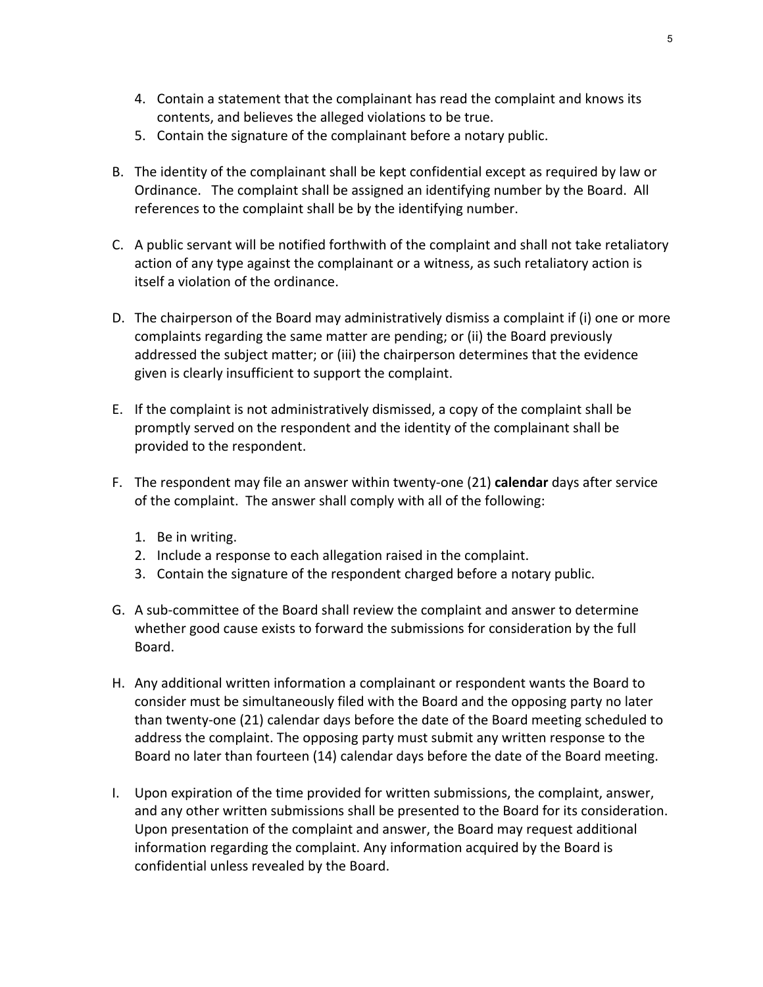- 4. Contain a statement that the complainant has read the complaint and knows its contents, and believes the alleged violations to be true.
- 5. Contain the signature of the complainant before a notary public.
- B. The identity of the complainant shall be kept confidential except as required by law or Ordinance. The complaint shall be assigned an identifying number by the Board. All references to the complaint shall be by the identifying number.
- C. A public servant will be notified forthwith of the complaint and shall not take retaliatory action of any type against the complainant or a witness, as such retaliatory action is itself a violation of the ordinance.
- D. The chairperson of the Board may administratively dismiss a complaint if (i) one or more complaints regarding the same matter are pending; or (ii) the Board previously addressed the subject matter; or (iii) the chairperson determines that the evidence given is clearly insufficient to support the complaint.
- E. If the complaint is not administratively dismissed, a copy of the complaint shall be promptly served on the respondent and the identity of the complainant shall be provided to the respondent.
- F. The respondent may file an answer within twenty‐one (21) **calendar** days after service of the complaint. The answer shall comply with all of the following:
	- 1. Be in writing.
	- 2. Include a response to each allegation raised in the complaint.
	- 3. Contain the signature of the respondent charged before a notary public.
- G. A sub‐committee of the Board shall review the complaint and answer to determine whether good cause exists to forward the submissions for consideration by the full Board.
- H. Any additional written information a complainant or respondent wants the Board to consider must be simultaneously filed with the Board and the opposing party no later than twenty‐one (21) calendar days before the date of the Board meeting scheduled to address the complaint. The opposing party must submit any written response to the Board no later than fourteen (14) calendar days before the date of the Board meeting.
- I. Upon expiration of the time provided for written submissions, the complaint, answer, and any other written submissions shall be presented to the Board for its consideration. Upon presentation of the complaint and answer, the Board may request additional information regarding the complaint. Any information acquired by the Board is confidential unless revealed by the Board.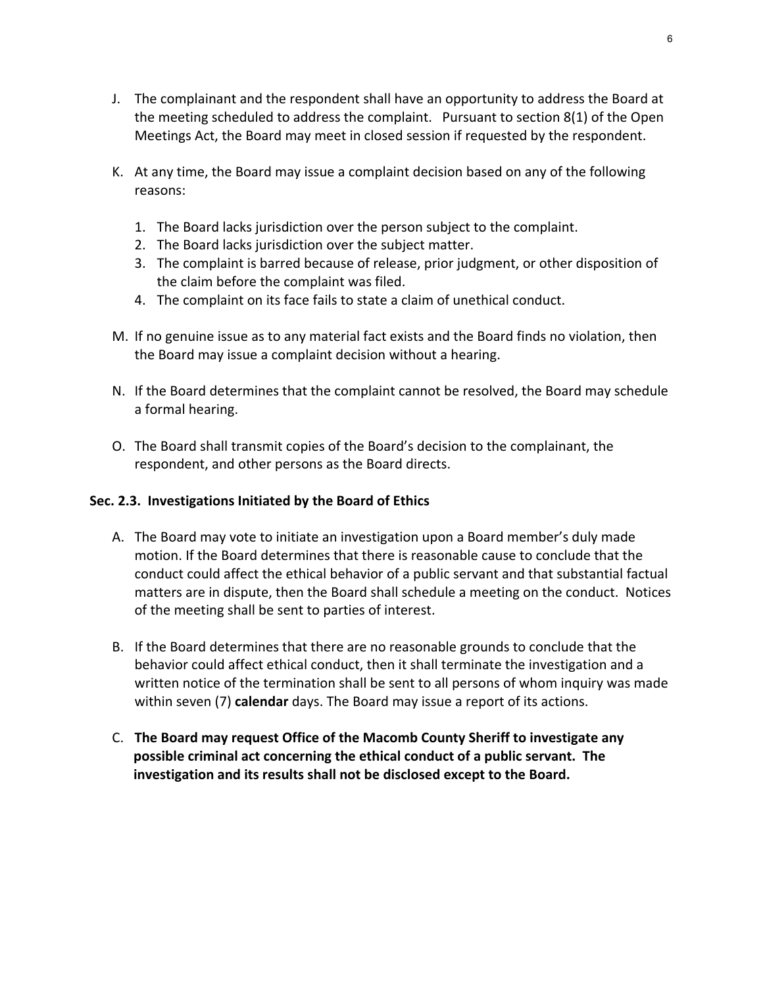- J. The complainant and the respondent shall have an opportunity to address the Board at the meeting scheduled to address the complaint. Pursuant to section 8(1) of the Open Meetings Act, the Board may meet in closed session if requested by the respondent.
- K. At any time, the Board may issue a complaint decision based on any of the following reasons:
	- 1. The Board lacks jurisdiction over the person subject to the complaint.
	- 2. The Board lacks jurisdiction over the subject matter.
	- 3. The complaint is barred because of release, prior judgment, or other disposition of the claim before the complaint was filed.
	- 4. The complaint on its face fails to state a claim of unethical conduct.
- M. If no genuine issue as to any material fact exists and the Board finds no violation, then the Board may issue a complaint decision without a hearing.
- N. If the Board determines that the complaint cannot be resolved, the Board may schedule a formal hearing.
- O. The Board shall transmit copies of the Board's decision to the complainant, the respondent, and other persons as the Board directs.

## **Sec. 2.3. Investigations Initiated by the Board of Ethics**

- A. The Board may vote to initiate an investigation upon a Board member's duly made motion. If the Board determines that there is reasonable cause to conclude that the conduct could affect the ethical behavior of a public servant and that substantial factual matters are in dispute, then the Board shall schedule a meeting on the conduct. Notices of the meeting shall be sent to parties of interest.
- B. If the Board determines that there are no reasonable grounds to conclude that the behavior could affect ethical conduct, then it shall terminate the investigation and a written notice of the termination shall be sent to all persons of whom inquiry was made within seven (7) **calendar** days. The Board may issue a report of its actions.
- C. **The Board may request Office of the Macomb County Sheriff to investigate any possible criminal act concerning the ethical conduct of a public servant. The investigation and its results shall not be disclosed except to the Board.**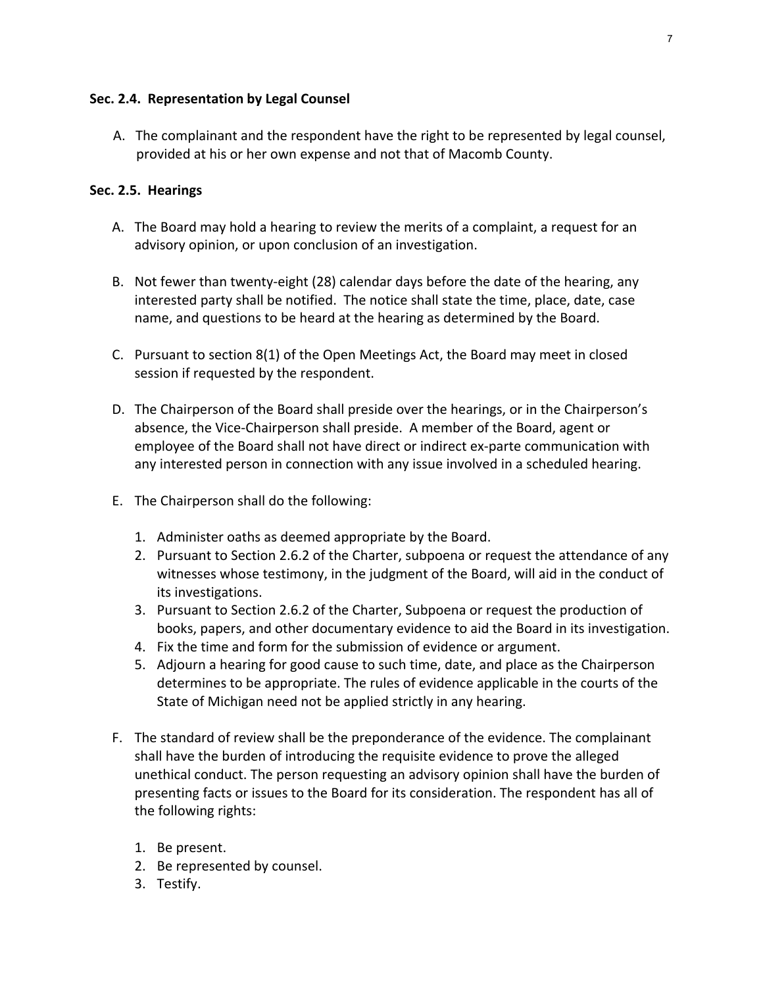## **Sec. 2.4. Representation by Legal Counsel**

A. The complainant and the respondent have the right to be represented by legal counsel, provided at his or her own expense and not that of Macomb County.

## **Sec. 2.5. Hearings**

- A. The Board may hold a hearing to review the merits of a complaint, a request for an advisory opinion, or upon conclusion of an investigation.
- B. Not fewer than twenty‐eight (28) calendar days before the date of the hearing, any interested party shall be notified. The notice shall state the time, place, date, case name, and questions to be heard at the hearing as determined by the Board.
- C. Pursuant to section 8(1) of the Open Meetings Act, the Board may meet in closed session if requested by the respondent.
- D. The Chairperson of the Board shall preside over the hearings, or in the Chairperson's absence, the Vice‐Chairperson shall preside. A member of the Board, agent or employee of the Board shall not have direct or indirect ex-parte communication with any interested person in connection with any issue involved in a scheduled hearing.
- E. The Chairperson shall do the following:
	- 1. Administer oaths as deemed appropriate by the Board.
	- 2. Pursuant to Section 2.6.2 of the Charter, subpoena or request the attendance of any witnesses whose testimony, in the judgment of the Board, will aid in the conduct of its investigations.
	- 3. Pursuant to Section 2.6.2 of the Charter, Subpoena or request the production of books, papers, and other documentary evidence to aid the Board in its investigation.
	- 4. Fix the time and form for the submission of evidence or argument.
	- 5. Adjourn a hearing for good cause to such time, date, and place as the Chairperson determines to be appropriate. The rules of evidence applicable in the courts of the State of Michigan need not be applied strictly in any hearing.
- F. The standard of review shall be the preponderance of the evidence. The complainant shall have the burden of introducing the requisite evidence to prove the alleged unethical conduct. The person requesting an advisory opinion shall have the burden of presenting facts or issues to the Board for its consideration. The respondent has all of the following rights:
	- 1. Be present.
	- 2. Be represented by counsel.
	- 3. Testify.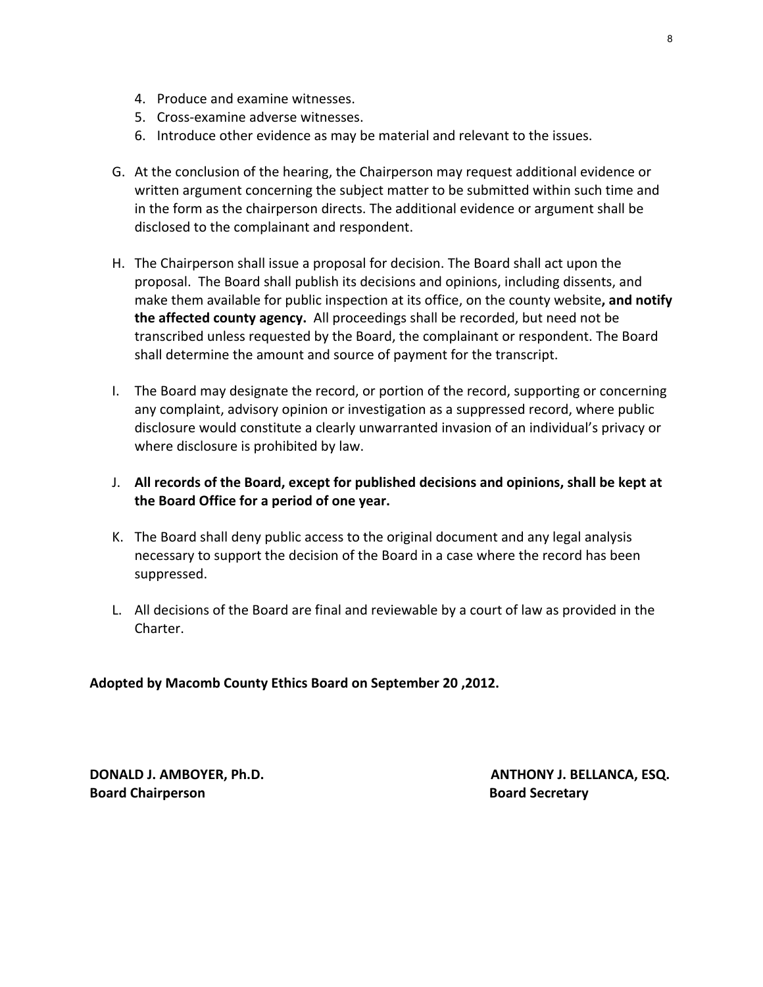- 4. Produce and examine witnesses.
- 5. Cross‐examine adverse witnesses.
- 6. Introduce other evidence as may be material and relevant to the issues.
- G. At the conclusion of the hearing, the Chairperson may request additional evidence or written argument concerning the subject matter to be submitted within such time and in the form as the chairperson directs. The additional evidence or argument shall be disclosed to the complainant and respondent.
- H. The Chairperson shall issue a proposal for decision. The Board shall act upon the proposal. The Board shall publish its decisions and opinions, including dissents, and make them available for public inspection at its office, on the county website**, and notify the affected county agency.** All proceedings shall be recorded, but need not be transcribed unless requested by the Board, the complainant or respondent. The Board shall determine the amount and source of payment for the transcript.
- I. The Board may designate the record, or portion of the record, supporting or concerning any complaint, advisory opinion or investigation as a suppressed record, where public disclosure would constitute a clearly unwarranted invasion of an individual's privacy or where disclosure is prohibited by law.
- J. **All records of the Board, except for published decisions and opinions, shall be kept at the Board Office for a period of one year.**
- K. The Board shall deny public access to the original document and any legal analysis necessary to support the decision of the Board in a case where the record has been suppressed.
- L. All decisions of the Board are final and reviewable by a court of law as provided in the Charter.

#### **Adopted by Macomb County Ethics Board on September 20 ,2012.**

**Board Chairperson Board Secretary**

**DONALD J. AMBOYER, Ph.D. ANTHONY J. BELLANCA, ESQ.**